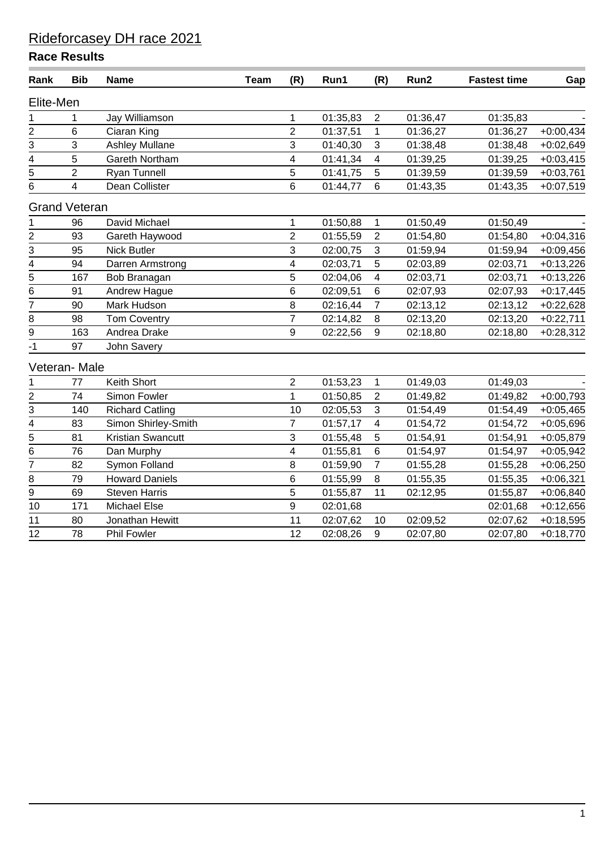| Rank           | <b>Bib</b>           | <b>Name</b>              | <b>Team</b> | (R)            | Run1     | (R)                     | Run2     | <b>Fastest time</b> | Gap         |
|----------------|----------------------|--------------------------|-------------|----------------|----------|-------------------------|----------|---------------------|-------------|
| Elite-Men      |                      |                          |             |                |          |                         |          |                     |             |
| 1              | 1                    | Jay Williamson           |             | $\mathbf 1$    | 01:35,83 | $\sqrt{2}$              | 01:36,47 | 01:35,83            |             |
| $\overline{2}$ | 6                    | Ciaran King              |             | $\overline{2}$ | 01:37,51 | $\mathbf{1}$            | 01:36,27 | 01:36,27            | $+0:00,434$ |
| 3              | 3                    | <b>Ashley Mullane</b>    |             | 3              | 01:40,30 | 3                       | 01:38,48 | 01:38,48            | $+0.02,649$ |
| $\frac{4}{5}$  | $\sqrt{5}$           | Gareth Northam           |             | 4              | 01:41,34 | $\overline{\mathbf{4}}$ | 01:39,25 | 01:39,25            | $+0.03,415$ |
|                | $\overline{2}$       | Ryan Tunnell             |             | 5              | 01:41,75 | 5                       | 01:39,59 | 01:39,59            | $+0:03,761$ |
| 6              | 4                    | Dean Collister           |             | 6              | 01:44,77 | $6\phantom{1}$          | 01:43,35 | 01:43,35            | $+0.07,519$ |
|                | <b>Grand Veteran</b> |                          |             |                |          |                         |          |                     |             |
| $\mathbf 1$    | 96                   | David Michael            |             | $\mathbf 1$    | 01:50,88 | $\mathbf 1$             | 01:50,49 | 01:50,49            |             |
|                | 93                   | Gareth Haywood           |             | $\overline{2}$ | 01:55,59 | $\overline{2}$          | 01:54,80 | 01:54,80            | $+0.04,316$ |
| $\frac{2}{3}$  | 95                   | <b>Nick Butler</b>       |             | 3              | 02:00,75 | 3                       | 01:59,94 | 01:59,94            | $+0.09,456$ |
| $\overline{4}$ | 94                   | Darren Armstrong         |             | 4              | 02:03,71 | 5                       | 02:03,89 | 02:03,71            | $+0:13,226$ |
| $\overline{5}$ | 167                  | Bob Branagan             |             | 5              | 02:04,06 | $\overline{\mathbf{4}}$ | 02:03,71 | 02:03,71            | $+0:13,226$ |
| $\overline{6}$ | 91                   | Andrew Hague             |             | 6              | 02:09,51 | 6                       | 02:07,93 | 02:07,93            | $+0:17,445$ |
| $\overline{7}$ | 90                   | Mark Hudson              |             | 8              | 02:16,44 | $\overline{7}$          | 02:13,12 | 02:13,12            | $+0:22,628$ |
| 8              | 98                   | <b>Tom Coventry</b>      |             | $\overline{7}$ | 02:14,82 | 8                       | 02:13,20 | 02:13,20            | $+0:22,711$ |
| 9              | 163                  | Andrea Drake             |             | 9              | 02:22,56 | 9                       | 02:18,80 | 02:18,80            | $+0:28,312$ |
| $-1$           | 97                   | <b>John Savery</b>       |             |                |          |                         |          |                     |             |
|                | Veteran-Male         |                          |             |                |          |                         |          |                     |             |
| 1              | 77                   | Keith Short              |             | $\overline{2}$ | 01:53,23 | 1                       | 01:49,03 | 01:49,03            |             |
| $\overline{2}$ | 74                   | Simon Fowler             |             | $\mathbf{1}$   | 01:50,85 | $\overline{2}$          | 01:49,82 | 01:49,82            | $+0:00,793$ |
| 3              | 140                  | <b>Richard Catling</b>   |             | 10             | 02:05,53 | 3                       | 01:54,49 | 01:54,49            | $+0.05,465$ |
| $\frac{1}{4}$  | 83                   | Simon Shirley-Smith      |             | $\overline{7}$ | 01:57,17 | $\overline{\mathbf{4}}$ | 01:54,72 | 01:54,72            | $+0.05,696$ |
| $\overline{5}$ | 81                   | <b>Kristian Swancutt</b> |             | 3              | 01:55,48 | 5                       | 01:54,91 | 01:54,91            | $+0.05,879$ |
| 6              | 76                   | Dan Murphy               |             | 4              | 01:55,81 | 6                       | 01:54,97 | 01:54,97            | $+0.05,942$ |
| $\overline{7}$ | 82                   | Symon Folland            |             | 8              | 01:59,90 | $\overline{7}$          | 01:55,28 | 01:55,28            | $+0.06,250$ |
| 8              | 79                   | <b>Howard Daniels</b>    |             | 6              | 01:55,99 | 8                       | 01:55,35 | 01:55,35            | $+0.06,321$ |
| $\overline{9}$ | 69                   | <b>Steven Harris</b>     |             | 5              | 01:55,87 | 11                      | 02:12,95 | 01:55,87            | +0:06,840   |
| 10             | 171                  | <b>Michael Else</b>      |             | 9              | 02:01,68 |                         |          | 02:01,68            | $+0:12,656$ |
| 11             | 80                   | Jonathan Hewitt          |             | 11             | 02:07,62 | 10                      | 02:09,52 | 02:07,62            | $+0.18,595$ |
| 12             | 78                   | Phil Fowler              |             | 12             | 02:08,26 | 9                       | 02:07,80 | 02:07,80            | $+0:18,770$ |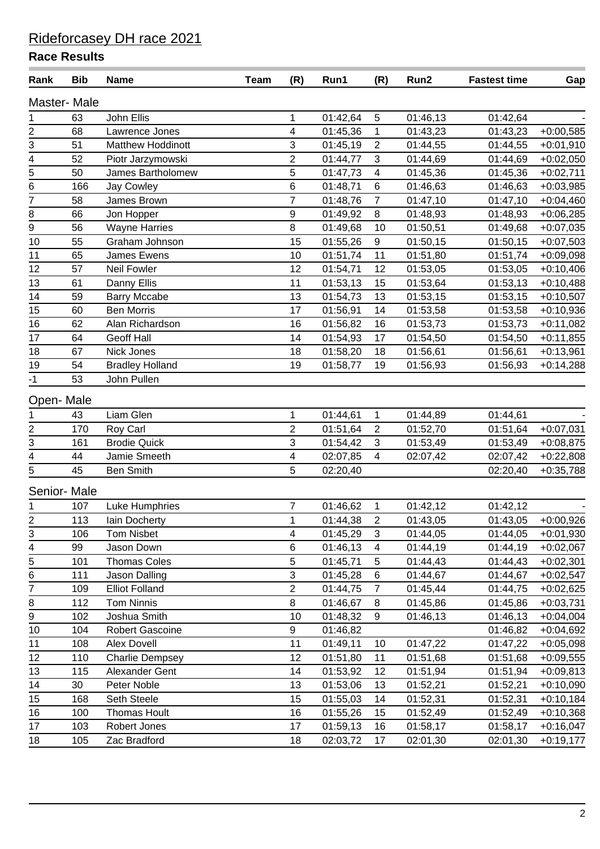| Rank                                      | <b>Bib</b>         | <b>Name</b>            | <b>Team</b> | (R)                     | Run1     | (R)             | Run2     | <b>Fastest time</b> | Gap          |
|-------------------------------------------|--------------------|------------------------|-------------|-------------------------|----------|-----------------|----------|---------------------|--------------|
|                                           | <b>Master-Male</b> |                        |             |                         |          |                 |          |                     |              |
| 1                                         | 63                 | John Ellis             |             | $\mathbf 1$             | 01:42,64 | $5\phantom{.0}$ | 01:46,13 | 01:42,64            |              |
|                                           | 68                 | Lawrence Jones         |             | 4                       | 01:45,36 | $\mathbf 1$     | 01:43,23 | 01:43,23            | $+0:00,585$  |
| $\frac{2}{3} - \frac{3}{4} - \frac{1}{5}$ | 51                 | Matthew Hoddinott      |             | 3                       | 01:45,19 | $\overline{2}$  | 01:44,55 | 01:44,55            | $+0:01,910$  |
|                                           | 52                 | Piotr Jarzymowski      |             | $\overline{2}$          | 01:44,77 | $\mathbf{3}$    | 01:44,69 | 01:44,69            | $+0.02,050$  |
|                                           | 50                 | James Bartholomew      |             | $\sqrt{5}$              | 01:47,73 | 4               | 01:45,36 | 01:45,36            | $+0.02,711$  |
| 6                                         | 166                | Jay Cowley             |             | $\,6\,$                 | 01:48,71 | 6               | 01:46,63 | 01:46,63            | $+0.03,985$  |
| $\overline{7}$                            | 58                 | James Brown            |             | $\overline{7}$          | 01:48,76 | $\overline{7}$  | 01:47,10 | 01:47,10            | $+0.04,460$  |
| $\bf 8$                                   | 66                 | Jon Hopper             |             | $\boldsymbol{9}$        | 01:49,92 | 8               | 01:48,93 | 01:48,93            | $+0.06,285$  |
| $\frac{1}{9}$                             | 56                 | <b>Wayne Harries</b>   |             | $\, 8$                  | 01:49,68 | 10              | 01:50,51 | 01:49,68            | $+0.07,035$  |
| $10$                                      | 55                 | Graham Johnson         |             | 15                      | 01:55,26 | 9               | 01:50,15 | 01:50,15            | $+0.07,503$  |
| 11                                        | 65                 | James Ewens            |             | 10                      | 01:51,74 | 11              | 01:51,80 | 01:51,74            | $+0.09,098$  |
| 12                                        | 57                 | Neil Fowler            |             | 12                      | 01:54,71 | 12              | 01:53,05 | 01:53,05            | $+0:10,406$  |
| 13                                        | 61                 | Danny Ellis            |             | 11                      | 01:53,13 | 15              | 01:53,64 | 01:53,13            | $+0:10,488$  |
| 14                                        | 59                 | <b>Barry Mccabe</b>    |             | 13                      | 01:54,73 | 13              | 01:53,15 | 01:53,15            | $+0:10,507$  |
| 15                                        | 60                 | <b>Ben Morris</b>      |             | 17                      | 01:56,91 | 14              | 01:53,58 | 01:53,58            | $+0:10,936$  |
| 16                                        | 62                 | Alan Richardson        |             | 16                      | 01:56,82 | 16              | 01:53,73 | 01:53,73            | $+0:11,082$  |
| 17                                        | 64                 | Geoff Hall             |             | 14                      | 01:54,93 | 17              | 01:54,50 | 01:54,50            | $+0:11,855$  |
| 18                                        | 67                 | Nick Jones             |             | 18                      | 01:58,20 | 18              | 01:56,61 | 01:56,61            | $+0:13,961$  |
| 19                                        | 54                 | <b>Bradley Holland</b> |             | 19                      | 01:58,77 | 19              | 01:56,93 | 01:56,93            | $+0:14,288$  |
| $-1$                                      | 53                 | John Pullen            |             |                         |          |                 |          |                     |              |
| Open-Male                                 |                    |                        |             |                         |          |                 |          |                     |              |
| 1                                         | 43                 | Liam Glen              |             | 1                       | 01:44,61 | $\mathbf{1}$    | 01:44,89 | 01:44,61            |              |
|                                           | 170                | Roy Carl               |             | $\overline{2}$          | 01:51,64 | 2               | 01:52,70 | 01:51,64            | $+0.07,031$  |
| $\frac{2}{3} - \frac{3}{4} - \frac{4}{5}$ | 161                | <b>Brodie Quick</b>    |             | 3                       | 01:54,42 | $\mathbf{3}$    | 01:53,49 | 01:53,49            | $+0.08,875$  |
|                                           | 44                 | Jamie Smeeth           |             | $\overline{\mathbf{4}}$ | 02:07,85 | $\overline{4}$  | 02:07,42 | 02:07,42            | $+0.22,808$  |
|                                           | 45                 | <b>Ben Smith</b>       |             | 5                       | 02:20,40 |                 |          | 02:20,40            | $+0:35,788$  |
|                                           | Senior-Male        |                        |             |                         |          |                 |          |                     |              |
| 1                                         | 107                | Luke Humphries         |             | $\overline{7}$          | 01:46,62 | $\mathbf{1}$    | 01:42,12 | 01:42,12            |              |
| $\overline{2}$                            | 113                | lain Docherty          |             | $\mathbf{1}$            | 01:44,38 | 2               | 01:43,05 | 01:43,05            | $+0.00,926$  |
| 3                                         | 106                | <b>Tom Nisbet</b>      |             | 4                       | 01:45,29 | 3               | 01:44,05 | 01:44,05            | $+0:01,930$  |
| $\overline{4}$                            | 99                 | Jason Down             |             | $\,6\,$                 | 01:46,13 | $\overline{4}$  | 01:44,19 | 01:44,19            | $+0.02,067$  |
| $\overline{5}$                            | 101                | <b>Thomas Coles</b>    |             | 5                       | 01:45,71 | 5               | 01:44,43 | 01:44,43            | $+0.02,301$  |
| 6                                         | 111                | Jason Dalling          |             | 3                       | 01:45,28 | 6               | 01:44,67 | 01:44,67            | $+0.02,547$  |
| $\overline{7}$                            | 109                | <b>Elliot Folland</b>  |             | $\overline{2}$          | 01:44,75 | $\overline{7}$  | 01:45,44 | 01:44,75            | $+0.02,625$  |
| $\overline{8}$                            | 112                | <b>Tom Ninnis</b>      |             | 8                       | 01:46,67 | 8               | 01:45,86 | 01:45,86            | $+0:03,731$  |
| 9                                         | 102                | Joshua Smith           |             | 10                      | 01:48,32 | 9               | 01:46,13 | 01:46,13            | $+0.04,004$  |
| 10                                        | 104                | <b>Robert Gascoine</b> |             | $\boldsymbol{9}$        | 01:46,82 |                 |          | 01:46,82            | $+0.04,692$  |
| 11                                        | 108                | Alex Dovell            |             | 11                      | 01:49,11 | 10              | 01:47,22 | 01:47,22            | $+0.05,098$  |
| 12                                        | 110                | <b>Charlie Dempsey</b> |             | 12                      | 01:51,80 | 11              | 01:51,68 | 01:51,68            | $+0.09,555$  |
| 13                                        | 115                | Alexander Gent         |             | 14                      | 01:53,92 | 12              | 01:51,94 | 01:51,94            | $+0.09, 813$ |
| 14                                        | 30                 | Peter Noble            |             | 13                      | 01:53,06 | 13              | 01:52,21 | 01:52,21            | $+0:10,090$  |
| 15                                        | 168                | Seth Steele            |             | 15                      | 01:55,03 | 14              | 01:52,31 | 01:52,31            | $+0:10,184$  |
| 16                                        | 100                | Thomas Hoult           |             | 16                      | 01:55,26 | 15              | 01:52,49 | 01:52,49            | $+0:10,368$  |
| 17                                        | 103                | Robert Jones           |             | 17                      | 01:59,13 | 16              | 01:58,17 | 01:58,17            | $+0.16,047$  |
| 18                                        | 105                | Zac Bradford           |             | 18                      | 02:03,72 | 17              | 02:01,30 | 02:01,30            | $+0:19,177$  |
|                                           |                    |                        |             |                         |          |                 |          |                     |              |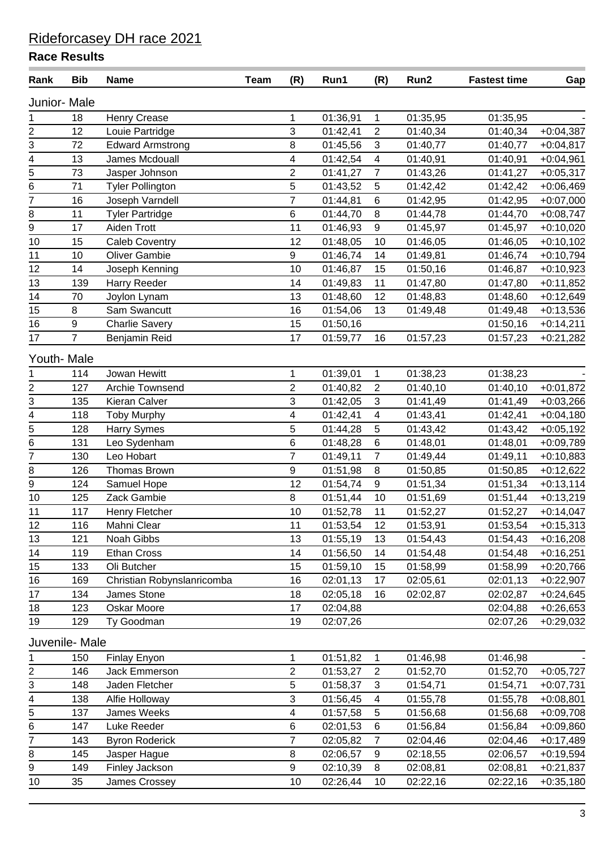| Rank                                        | <b>Bib</b>       | <b>Name</b>                | <b>Team</b> | (R)              | Run1     | (R)              | Run2     | <b>Fastest time</b> | Gap          |
|---------------------------------------------|------------------|----------------------------|-------------|------------------|----------|------------------|----------|---------------------|--------------|
| Junior- Male                                |                  |                            |             |                  |          |                  |          |                     |              |
| 1                                           | 18               | <b>Henry Crease</b>        |             | 1                | 01:36,91 | $\mathbf{1}$     | 01:35,95 | 01:35,95            |              |
| 2                                           | 12               | Louie Partridge            |             | 3                | 01:42,41 | $\overline{2}$   | 01:40,34 | 01:40,34            | $+0.04,387$  |
|                                             | 72               | <b>Edward Armstrong</b>    |             | 8                | 01:45,56 | $\mathbf{3}$     | 01:40,77 | 01:40,77            | $+0:04,817$  |
| $\frac{13}{4} - \frac{15}{6} - \frac{6}{7}$ | 13               | James Mcdouall             |             | 4                | 01:42,54 | 4                | 01:40,91 | 01:40,91            | $+0.04,961$  |
|                                             | 73               | Jasper Johnson             |             | $\overline{2}$   | 01:41,27 | $\overline{7}$   | 01:43,26 | 01:41,27            | $+0.05,317$  |
|                                             | 71               | <b>Tyler Pollington</b>    |             | 5                | 01:43,52 | 5                | 01:42,42 | 01:42,42            | $+0.06,469$  |
|                                             | 16               | Joseph Varndell            |             | $\overline{7}$   | 01:44,81 | $\,6$            | 01:42,95 | 01:42,95            | $+0.07,000$  |
| 8                                           | 11               | <b>Tyler Partridge</b>     |             | $\,6$            | 01:44,70 | 8                | 01:44,78 | 01:44,70            | $+0.08,747$  |
| $\overline{9}$                              | 17               | Aiden Trott                |             | 11               | 01:46,93 | 9                | 01:45,97 | 01:45,97            | $+0:10,020$  |
| 10                                          | 15               | <b>Caleb Coventry</b>      |             | 12               | 01:48,05 | 10               | 01:46,05 | 01:46,05            | $+0:10,102$  |
| 11                                          | 10               | <b>Oliver Gambie</b>       |             | $\boldsymbol{9}$ | 01:46,74 | 14               | 01:49,81 | 01:46,74            | $+0.10,794$  |
| 12                                          | 14               | Joseph Kenning             |             | 10               | 01:46,87 | 15               | 01:50,16 | 01:46,87            | $+0:10,923$  |
| 13                                          | 139              | <b>Harry Reeder</b>        |             | 14               | 01:49,83 | 11               | 01:47,80 | 01:47,80            | $+0:11,852$  |
| 14                                          | 70               | Joylon Lynam               |             | 13               | 01:48,60 | 12               | 01:48,83 | 01:48,60            | $+0.12,649$  |
| 15                                          | 8                | Sam Swancutt               |             | 16               | 01:54,06 | 13               | 01:49,48 | 01:49,48            | $+0:13,536$  |
| 16                                          | $\boldsymbol{9}$ | <b>Charlie Savery</b>      |             | 15               | 01:50,16 |                  |          | 01:50,16            | $+0:14,211$  |
| 17                                          | $\overline{7}$   | Benjamin Reid              |             | 17               | 01:59,77 | 16               | 01:57,23 | 01:57,23            | $+0:21,282$  |
| Youth- Male                                 |                  |                            |             |                  |          |                  |          |                     |              |
| 1                                           | 114              | Jowan Hewitt               |             | 1                | 01:39,01 | $\mathbf{1}$     | 01:38,23 | 01:38,23            |              |
|                                             | 127              | Archie Townsend            |             | $\overline{c}$   | 01:40,82 | $\overline{2}$   | 01:40,10 | 01:40,10            | $+0:01,872$  |
| $\frac{2}{3}$ $\frac{1}{4}$                 | 135              | Kieran Calver              |             | 3                | 01:42,05 | 3                | 01:41,49 | 01:41,49            | $+0.03,266$  |
|                                             | 118              | <b>Toby Murphy</b>         |             | 4                | 01:42,41 | $\overline{4}$   | 01:43,41 | 01:42,41            | $+0:04,180$  |
|                                             | 128              | <b>Harry Symes</b>         |             | 5                | 01:44,28 | 5                | 01:43,42 | 01:43,42            | $+0.05, 192$ |
| $\frac{1}{5}$                               | 131              | Leo Sydenham               |             | $\,6$            | 01:48,28 | $\,6$            | 01:48,01 | 01:48,01            | $+0.09,789$  |
| $\overline{7}$                              | 130              | Leo Hobart                 |             | $\overline{7}$   | 01:49,11 | $\overline{7}$   | 01:49,44 | 01:49,11            | $+0:10,883$  |
| 8                                           | 126              | Thomas Brown               |             | $\boldsymbol{9}$ | 01:51,98 | $\, 8$           | 01:50,85 | 01:50,85            | $+0:12,622$  |
| $\overline{9}$                              | 124              | Samuel Hope                |             | 12               | 01:54,74 | $\mathsf g$      | 01:51,34 | 01:51,34            | $+0:13,114$  |
| 10                                          | 125              | Zack Gambie                |             | 8                | 01:51,44 | 10               | 01:51,69 | 01:51,44            | $+0:13,219$  |
| 11                                          | 117              | Henry Fletcher             |             | 10               | 01:52,78 | 11               | 01:52,27 | 01:52,27            | $+0:14,047$  |
| 12                                          | 116              | Mahni Clear                |             | 11               | 01:53,54 | 12               | 01:53,91 | 01:53,54            | $+0:15,313$  |
| 13                                          | 121              | Noah Gibbs                 |             | 13               | 01:55,19 | 13               | 01:54,43 | 01:54,43            | $+0.16,208$  |
| 14                                          | 119              | <b>Ethan Cross</b>         |             | 14               | 01:56,50 | 14               | 01:54,48 | 01:54,48            | $+0:16,251$  |
| 15                                          | 133              | Oli Butcher                |             | 15               | 01:59,10 | 15               | 01:58,99 | 01:58,99            | $+0:20,766$  |
| 16                                          | 169              | Christian Robynslanricomba |             | 16               | 02:01,13 | 17               | 02:05,61 | 02:01,13            | $+0.22,907$  |
| 17                                          | 134              | James Stone                |             | 18               | 02:05,18 | 16               | 02:02,87 | 02:02,87            | $+0.24,645$  |
| 18                                          | 123              | Oskar Moore                |             | 17               | 02:04,88 |                  |          | 02:04,88            | $+0.26,653$  |
| 19                                          | 129              | Ty Goodman                 |             | 19               | 02:07,26 |                  |          | 02:07,26            | $+0:29,032$  |
|                                             | Juvenile- Male   |                            |             |                  |          |                  |          |                     |              |
| 1                                           | 150              | Finlay Enyon               |             | 1                | 01:51,82 | $\mathbf{1}$     | 01:46,98 | 01:46,98            |              |
| $\overline{2}$                              | 146              | Jack Emmerson              |             | $\overline{2}$   | 01:53,27 | $\overline{2}$   | 01:52,70 | 01:52,70            | $+0.05,727$  |
| $\overline{3}$                              | 148              | Jaden Fletcher             |             | 5                | 01:58,37 | 3                | 01:54,71 | 01:54,71            | $+0.07,731$  |
| 4                                           | 138              | Alfie Holloway             |             | 3                | 01:56,45 | $\overline{4}$   | 01:55,78 | 01:55,78            | $+0.08,801$  |
| $\overline{5}$                              | 137              | James Weeks                |             | 4                | 01:57,58 | 5                | 01:56,68 | 01:56,68            | $+0.09,708$  |
| $\overline{6}$                              | 147              | Luke Reeder                |             | $\,6$            | 02:01,53 | $\,6$            | 01:56,84 | 01:56,84            | $+0.09,860$  |
| $\overline{7}$                              | 143              | <b>Byron Roderick</b>      |             | $\overline{7}$   | 02:05,82 | $\overline{7}$   | 02:04,46 | 02:04,46            | $+0:17,489$  |
| 8                                           | 145              | Jasper Hague               |             | 8                | 02:06,57 | $\boldsymbol{9}$ | 02:18,55 | 02:06,57            | $+0.19,594$  |
| 9                                           | 149              | Finley Jackson             |             | $\boldsymbol{9}$ | 02:10,39 | 8                | 02:08,81 | 02:08,81            | $+0:21,837$  |
| 10                                          | 35               | James Crossey              |             | 10               | 02:26,44 | 10               | 02:22,16 | 02:22,16            | $+0:35,180$  |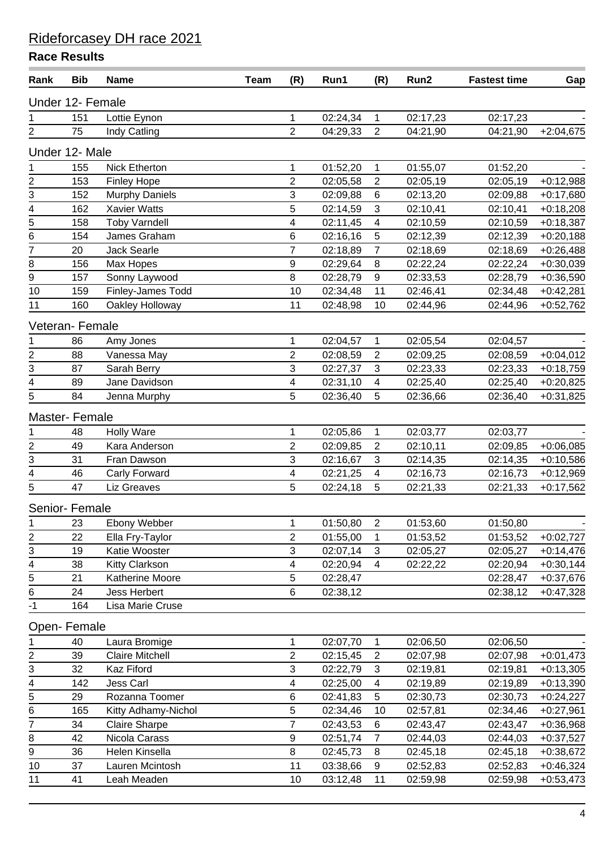| Rank                                      | <b>Bib</b> | <b>Name</b>            | <b>Team</b> | (R)                     | Run1     | (R)              | Run2     | <b>Fastest time</b> | Gap         |
|-------------------------------------------|------------|------------------------|-------------|-------------------------|----------|------------------|----------|---------------------|-------------|
| Under 12- Female                          |            |                        |             |                         |          |                  |          |                     |             |
| 1                                         | 151        | Lottie Eynon           |             | $\mathbf 1$             | 02:24,34 | $\mathbf{1}$     | 02:17,23 | 02:17,23            |             |
| $\overline{2}$                            | 75         | Indy Catling           |             | $\overline{2}$          | 04:29,33 | $\overline{2}$   | 04:21,90 | 04:21,90            | $+2:04,675$ |
| Under 12- Male                            |            |                        |             |                         |          |                  |          |                     |             |
| 1                                         | 155        | <b>Nick Etherton</b>   |             | 1                       | 01:52,20 | 1                | 01:55,07 | 01:52,20            |             |
|                                           | 153        | <b>Finley Hope</b>     |             | $\overline{\mathbf{c}}$ | 02:05,58 | $\sqrt{2}$       | 02:05,19 | 02:05,19            | $+0.12,988$ |
|                                           | 152        | <b>Murphy Daniels</b>  |             | $\mathsf 3$             | 02:09,88 | $\,6$            | 02:13,20 | 02:09,88            | $+0.17,680$ |
|                                           | 162        | Xavier Watts           |             | 5                       | 02:14,59 | 3                | 02:10,41 | 02:10,41            | $+0.18,208$ |
|                                           | 158        | <b>Toby Varndell</b>   |             | 4                       | 02:11,45 | 4                | 02:10,59 | 02:10,59            | $+0.18,387$ |
| $\frac{2}{3} - \frac{4}{5} - \frac{6}{7}$ | 154        | James Graham           |             | 6                       | 02:16,16 | 5                | 02:12,39 | 02:12,39            | $+0:20,188$ |
|                                           | 20         | Jack Searle            |             | $\overline{7}$          | 02:18,89 | 7                | 02:18,69 | 02:18,69            | $+0.26,488$ |
| $\overline{8}$                            | 156        | Max Hopes              |             | 9                       | 02:29,64 | 8                | 02:22,24 | 02:22,24            | $+0:30,039$ |
| $\overline{9}$                            | 157        | Sonny Laywood          |             | 8                       | 02:28,79 | $\boldsymbol{9}$ | 02:33,53 | 02:28,79            | $+0.36,590$ |
| $\overline{10}$                           | 159        | Finley-James Todd      |             | 10                      | 02:34,48 | 11               | 02:46,41 | 02:34,48            | $+0.42,281$ |
| 11                                        | 160        | Oakley Holloway        |             | 11                      | 02:48,98 | 10               | 02:44,96 | 02:44,96            | $+0.52,762$ |
| Veteran-Female                            |            |                        |             |                         |          |                  |          |                     |             |
| 1                                         | 86         | Amy Jones              |             | $\mathbf{1}$            | 02:04,57 | 1                | 02:05,54 | 02:04,57            |             |
| $\overline{\mathbf{c}}$                   | 88         | Vanessa May            |             | $\overline{2}$          | 02:08,59 | $\overline{2}$   | 02:09,25 | 02:08,59            | $+0.04,012$ |
| $\frac{1}{3}$                             | 87         | Sarah Berry            |             | 3                       | 02:27,37 | $\mathbf{3}$     | 02:23,33 | 02:23,33            | $+0.18,759$ |
|                                           | 89         | Jane Davidson          |             | $\overline{\mathbf{4}}$ | 02:31,10 | 4                | 02:25,40 | 02:25,40            | $+0.20,825$ |
| 5                                         | 84         | Jenna Murphy           |             | 5                       | 02:36,40 | 5                | 02:36,66 | 02:36,40            | $+0:31,825$ |
| Master- Female                            |            |                        |             |                         |          |                  |          |                     |             |
| 1                                         | 48         | <b>Holly Ware</b>      |             | 1                       | 02:05,86 | 1                | 02:03,77 | 02:03,77            |             |
| $\frac{2}{3}$                             | 49         | Kara Anderson          |             | $\overline{c}$          | 02:09,85 | $\overline{2}$   | 02:10,11 | 02:09,85            | $+0.06,085$ |
|                                           | 31         | Fran Dawson            |             | 3                       | 02:16,67 | $\mathbf{3}$     | 02:14,35 | 02:14,35            | $+0.10,586$ |
| 4                                         | 46         | Carly Forward          |             | 4                       | 02:21,25 | 4                | 02:16,73 | 02:16,73            | $+0.12,969$ |
| 5                                         | 47         | Liz Greaves            |             | 5                       | 02:24,18 | 5                | 02:21,33 | 02:21,33            | $+0:17,562$ |
| Senior- Female                            |            |                        |             |                         |          |                  |          |                     |             |
| 1                                         | 23         | Ebony Webber           |             | 1                       | 01:50,80 | $\overline{2}$   | 01:53,60 | 01:50,80            |             |
| 2                                         | 22         | Ella Fry-Taylor        |             | 2                       | 01:55,00 | $\mathbf 1$      | 01:53,52 | 01:53,52            | $+0:02,727$ |
| 3                                         | 19         | Katie Wooster          |             | 3                       | 02:07,14 | 3                | 02:05,27 | 02:05,27            | $+0.14,476$ |
| $\frac{4}{5}$                             | 38         | <b>Kitty Clarkson</b>  |             | 4                       | 02:20,94 | $\overline{4}$   | 02:22,22 | 02:20,94            | $+0:30,144$ |
|                                           | 21         | Katherine Moore        |             | 5                       | 02:28,47 |                  |          | 02:28,47            | $+0:37,676$ |
| $\,6\,$                                   | 24         | <b>Jess Herbert</b>    |             | 6                       | 02:38,12 |                  |          | 02:38,12            | $+0.47,328$ |
| $-1$                                      | 164        | Lisa Marie Cruse       |             |                         |          |                  |          |                     |             |
| Open-Female                               |            |                        |             |                         |          |                  |          |                     |             |
| 1                                         | 40         | Laura Bromige          |             | $\mathbf{1}$            | 02:07,70 | $\mathbf{1}$     | 02:06,50 | 02:06,50            |             |
| 2                                         | 39         | <b>Claire Mitchell</b> |             | $\overline{2}$          | 02:15,45 | 2                | 02:07,98 | 02:07,98            | $+0:01,473$ |
| 3                                         | 32         | Kaz Fiford             |             | 3                       | 02:22,79 | 3                | 02:19,81 | 02:19,81            | $+0:13,305$ |
| 4                                         | 142        | Jess Carl              |             | 4                       | 02:25,00 | $\overline{4}$   | 02:19,89 | 02:19,89            | $+0:13,390$ |
| 5                                         | 29         | Rozanna Toomer         |             | 6                       | 02:41,83 | 5                | 02:30,73 | 02:30,73            | $+0:24,227$ |
| 6                                         | 165        | Kitty Adhamy-Nichol    |             | 5                       | 02:34,46 | 10               | 02:57,81 | 02:34,46            | $+0.27,961$ |
| $\overline{7}$                            | 34         | <b>Claire Sharpe</b>   |             | $\overline{7}$          | 02:43,53 | 6                | 02:43,47 | 02:43,47            | $+0.36,968$ |
| $\bf 8$                                   | 42         | Nicola Carass          |             | $\boldsymbol{9}$        | 02:51,74 | $\overline{7}$   | 02:44,03 | 02:44,03            | $+0:37,527$ |
| 9                                         | 36         | Helen Kinsella         |             | 8                       | 02:45,73 | 8                | 02:45,18 | 02:45,18            | $+0:38,672$ |
| 10                                        | 37         | Lauren Mcintosh        |             | 11                      | 03:38,66 | 9                | 02:52,83 | 02:52,83            | $+0.46,324$ |
| 11                                        | 41         | Leah Meaden            |             | 10                      | 03:12,48 | 11               | 02:59,98 | 02:59,98            | $+0.53,473$ |